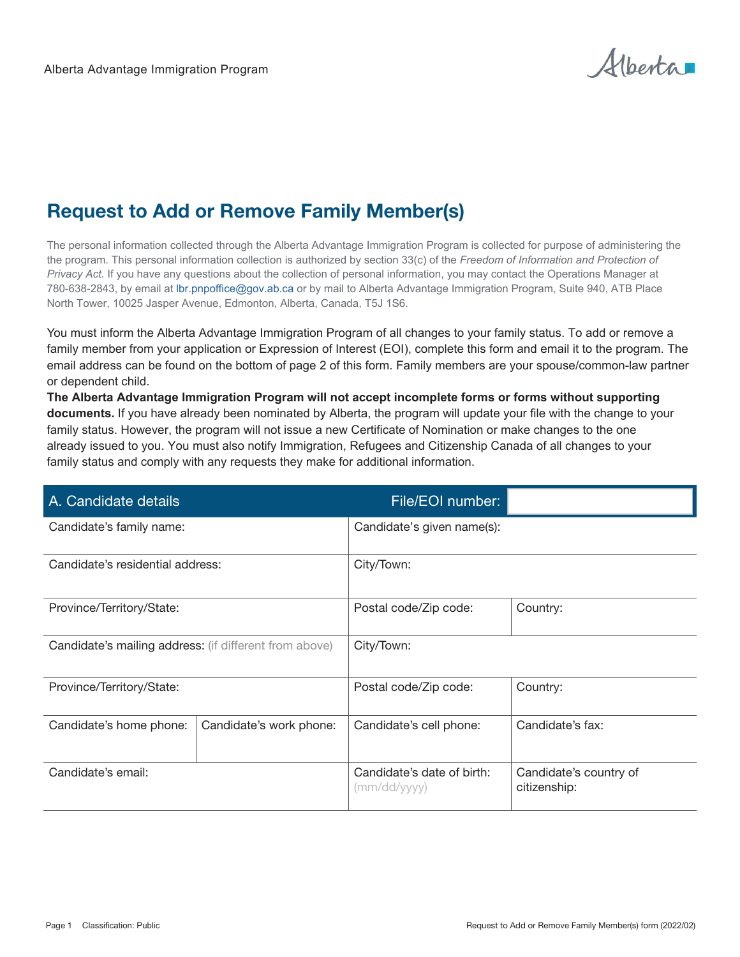Albertar

## Request to Add or Remove Family Member(s)

The personal information collected through the Alberta Advantage Immigration Program is collected for purpose of administering the the program. This personal information collection is authorized by section 33(c) of the *Freedom of Information and Protection of Privacy Act.* If you have any questions about the collection of personal information, you may contact the Operations Manager at 780-638-2843, by email at lbr.pnpoffice@gov.ab.ca or by mail to Alberta Advantage Immigration Program, Suite 940, ATB Place North Tower, 10025 Jasper Avenue, Edmonton, Alberta, Canada, T5J 1S6.

You must inform the Alberta Advantage Immigration Program of all changes to your family status. To add or remove a family member from your application or Expression of Interest (EOI), complete this form and email it to the program. The email address can be found on the bottom of page 2 of this form. Family members are your spouse/common-law partner or dependent child.

**The Alberta Advantage Immigration Program will not accept incomplete forms or forms without supporting documents.** If you have already been nominated by Alberta, the program will update your file with the change to your family status. However, the program will not issue a new Certificate of Nomination or make changes to the one already issued to you. You must also notify Immigration, Refugees and Citizenship Canada of all changes to your family status and comply with any requests they make for additional information.

| A. Candidate details                                   |                         | File/EOI number:                           |                                        |
|--------------------------------------------------------|-------------------------|--------------------------------------------|----------------------------------------|
| Candidate's family name:                               |                         | Candidate's given name(s):                 |                                        |
| Candidate's residential address:                       |                         | City/Town:                                 |                                        |
| Province/Territory/State:                              |                         | Postal code/Zip code:                      | Country:                               |
| Candidate's mailing address: (if different from above) |                         | City/Town:                                 |                                        |
| Province/Territory/State:                              |                         | Postal code/Zip code:                      | Country:                               |
| Candidate's home phone:                                | Candidate's work phone: | Candidate's cell phone:                    | Candidate's fax:                       |
| Candidate's email:                                     |                         | Candidate's date of birth:<br>(mm/dd/yyyy) | Candidate's country of<br>citizenship: |